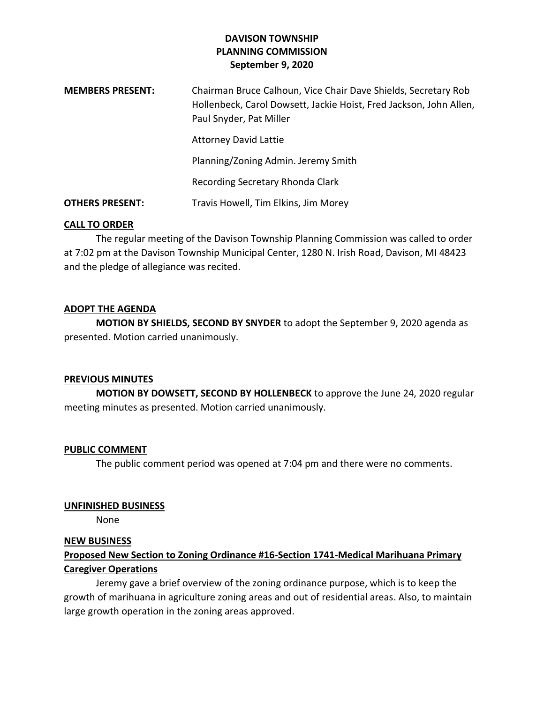## **DAVISON TOWNSHIP PLANNING COMMISSION September 9, 2020**

| <b>MEMBERS PRESENT:</b> | Chairman Bruce Calhoun, Vice Chair Dave Shields, Secretary Rob<br>Hollenbeck, Carol Dowsett, Jackie Hoist, Fred Jackson, John Allen,<br>Paul Snyder, Pat Miller |
|-------------------------|-----------------------------------------------------------------------------------------------------------------------------------------------------------------|
|                         | <b>Attorney David Lattie</b>                                                                                                                                    |
|                         | Planning/Zoning Admin. Jeremy Smith                                                                                                                             |
|                         | Recording Secretary Rhonda Clark                                                                                                                                |
| <b>OTHERS PRESENT:</b>  | Travis Howell, Tim Elkins, Jim Morey                                                                                                                            |

### **CALL TO ORDER**

The regular meeting of the Davison Township Planning Commission was called to order at 7:02 pm at the Davison Township Municipal Center, 1280 N. Irish Road, Davison, MI 48423 and the pledge of allegiance was recited.

### **ADOPT THE AGENDA**

**MOTION BY SHIELDS, SECOND BY SNYDER** to adopt the September 9, 2020 agenda as presented. Motion carried unanimously.

#### **PREVIOUS MINUTES**

**MOTION BY DOWSETT, SECOND BY HOLLENBECK** to approve the June 24, 2020 regular meeting minutes as presented. Motion carried unanimously.

#### **PUBLIC COMMENT**

The public comment period was opened at 7:04 pm and there were no comments.

#### **UNFINISHED BUSINESS**

None

### **NEW BUSINESS**

# **Proposed New Section to Zoning Ordinance #16-Section 1741-Medical Marihuana Primary Caregiver Operations**

Jeremy gave a brief overview of the zoning ordinance purpose, which is to keep the growth of marihuana in agriculture zoning areas and out of residential areas. Also, to maintain large growth operation in the zoning areas approved.